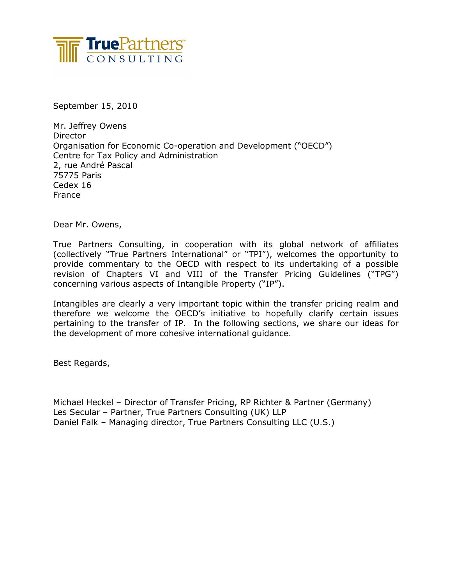

September 15, 2010

Mr. Jeffrey Owens **Director** Organisation for Economic Co-operation and Development ("OECD") Centre for Tax Policy and Administration 2, rue André Pascal 75775 Paris Cedex 16 France

Dear Mr. Owens,

True Partners Consulting, in cooperation with its global network of affiliates (collectively "True Partners International" or "TPI"), welcomes the opportunity to provide commentary to the OECD with respect to its undertaking of a possible revision of Chapters VI and VIII of the Transfer Pricing Guidelines ("TPG") concerning various aspects of Intangible Property ("IP").

Intangibles are clearly a very important topic within the transfer pricing realm and therefore we welcome the OECD's initiative to hopefully clarify certain issues pertaining to the transfer of IP. In the following sections, we share our ideas for the development of more cohesive international guidance.

Best Regards,

Michael Heckel – Director of Transfer Pricing, RP Richter & Partner (Germany) Les Secular – Partner, True Partners Consulting (UK) LLP Daniel Falk – Managing director, True Partners Consulting LLC (U.S.)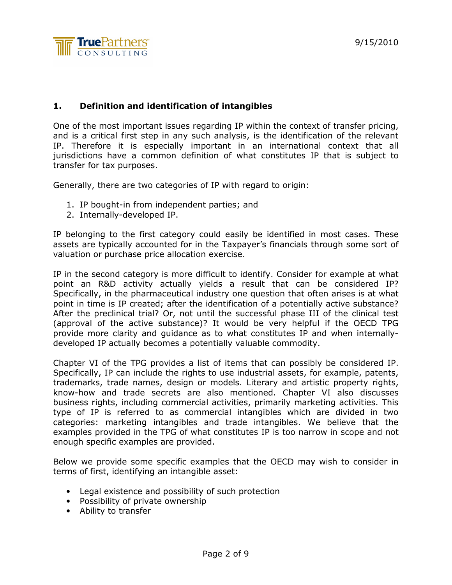## 1. Definition and identification of intangibles

One of the most important issues regarding IP within the context of transfer pricing, and is a critical first step in any such analysis, is the identification of the relevant IP. Therefore it is especially important in an international context that all jurisdictions have a common definition of what constitutes IP that is subject to transfer for tax purposes.

Generally, there are two categories of IP with regard to origin:

- 1. IP bought-in from independent parties; and
- 2. Internally-developed IP.

IP belonging to the first category could easily be identified in most cases. These assets are typically accounted for in the Taxpayer's financials through some sort of valuation or purchase price allocation exercise.

IP in the second category is more difficult to identify. Consider for example at what point an R&D activity actually yields a result that can be considered IP? Specifically, in the pharmaceutical industry one question that often arises is at what point in time is IP created; after the identification of a potentially active substance? After the preclinical trial? Or, not until the successful phase III of the clinical test (approval of the active substance)? It would be very helpful if the OECD TPG provide more clarity and guidance as to what constitutes IP and when internallydeveloped IP actually becomes a potentially valuable commodity.

Chapter VI of the TPG provides a list of items that can possibly be considered IP. Specifically, IP can include the rights to use industrial assets, for example, patents, trademarks, trade names, design or models. Literary and artistic property rights, know-how and trade secrets are also mentioned. Chapter VI also discusses business rights, including commercial activities, primarily marketing activities. This type of IP is referred to as commercial intangibles which are divided in two categories: marketing intangibles and trade intangibles. We believe that the examples provided in the TPG of what constitutes IP is too narrow in scope and not enough specific examples are provided.

Below we provide some specific examples that the OECD may wish to consider in terms of first, identifying an intangible asset:

- Legal existence and possibility of such protection
- Possibility of private ownership
- Ability to transfer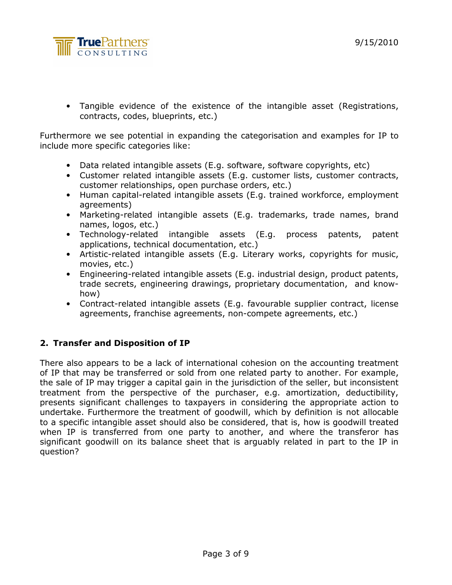

• Tangible evidence of the existence of the intangible asset (Registrations, contracts, codes, blueprints, etc.)

Furthermore we see potential in expanding the categorisation and examples for IP to include more specific categories like:

- Data related intangible assets (E.g. software, software copyrights, etc)
- Customer related intangible assets (E.g. customer lists, customer contracts, customer relationships, open purchase orders, etc.)
- Human capital-related intangible assets (E.g. trained workforce, employment agreements)
- Marketing-related intangible assets (E.g. trademarks, trade names, brand names, logos, etc.)
- Technology-related intangible assets (E.g. process patents, patent applications, technical documentation, etc.)
- Artistic-related intangible assets (E.g. Literary works, copyrights for music, movies, etc.)
- Engineering-related intangible assets (E.g. industrial design, product patents, trade secrets, engineering drawings, proprietary documentation, and knowhow)
- Contract-related intangible assets (E.g. favourable supplier contract, license agreements, franchise agreements, non-compete agreements, etc.)

# 2. Transfer and Disposition of IP

There also appears to be a lack of international cohesion on the accounting treatment of IP that may be transferred or sold from one related party to another. For example, the sale of IP may trigger a capital gain in the jurisdiction of the seller, but inconsistent treatment from the perspective of the purchaser, e.g. amortization, deductibility, presents significant challenges to taxpayers in considering the appropriate action to undertake. Furthermore the treatment of goodwill, which by definition is not allocable to a specific intangible asset should also be considered, that is, how is goodwill treated when IP is transferred from one party to another, and where the transferor has significant goodwill on its balance sheet that is arguably related in part to the IP in question?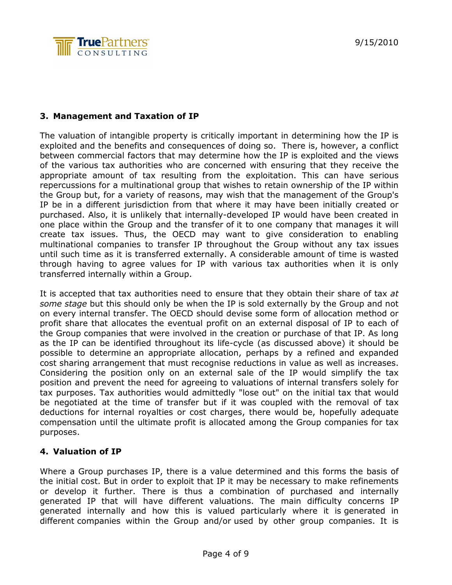

## 3. Management and Taxation of IP

The valuation of intangible property is critically important in determining how the IP is exploited and the benefits and consequences of doing so. There is, however, a conflict between commercial factors that may determine how the IP is exploited and the views of the various tax authorities who are concerned with ensuring that they receive the appropriate amount of tax resulting from the exploitation. This can have serious repercussions for a multinational group that wishes to retain ownership of the IP within the Group but, for a variety of reasons, may wish that the management of the Group's IP be in a different jurisdiction from that where it may have been initially created or purchased. Also, it is unlikely that internally-developed IP would have been created in one place within the Group and the transfer of it to one company that manages it will create tax issues. Thus, the OECD may want to give consideration to enabling multinational companies to transfer IP throughout the Group without any tax issues until such time as it is transferred externally. A considerable amount of time is wasted through having to agree values for IP with various tax authorities when it is only transferred internally within a Group.

It is accepted that tax authorities need to ensure that they obtain their share of tax at some stage but this should only be when the IP is sold externally by the Group and not on every internal transfer. The OECD should devise some form of allocation method or profit share that allocates the eventual profit on an external disposal of IP to each of the Group companies that were involved in the creation or purchase of that IP. As long as the IP can be identified throughout its life-cycle (as discussed above) it should be possible to determine an appropriate allocation, perhaps by a refined and expanded cost sharing arrangement that must recognise reductions in value as well as increases. Considering the position only on an external sale of the IP would simplify the tax position and prevent the need for agreeing to valuations of internal transfers solely for tax purposes. Tax authorities would admittedly "lose out" on the initial tax that would be negotiated at the time of transfer but if it was coupled with the removal of tax deductions for internal royalties or cost charges, there would be, hopefully adequate compensation until the ultimate profit is allocated among the Group companies for tax purposes.

#### 4. Valuation of IP

Where a Group purchases IP, there is a value determined and this forms the basis of the initial cost. But in order to exploit that IP it may be necessary to make refinements or develop it further. There is thus a combination of purchased and internally generated IP that will have different valuations. The main difficulty concerns IP generated internally and how this is valued particularly where it is generated in different companies within the Group and/or used by other group companies. It is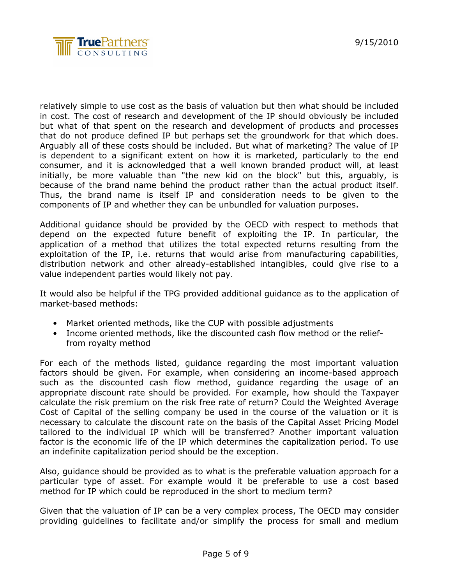

relatively simple to use cost as the basis of valuation but then what should be included in cost. The cost of research and development of the IP should obviously be included but what of that spent on the research and development of products and processes that do not produce defined IP but perhaps set the groundwork for that which does. Arguably all of these costs should be included. But what of marketing? The value of IP is dependent to a significant extent on how it is marketed, particularly to the end consumer, and it is acknowledged that a well known branded product will, at least initially, be more valuable than "the new kid on the block" but this, arguably, is because of the brand name behind the product rather than the actual product itself. Thus, the brand name is itself IP and consideration needs to be given to the components of IP and whether they can be unbundled for valuation purposes.

Additional guidance should be provided by the OECD with respect to methods that depend on the expected future benefit of exploiting the IP. In particular, the application of a method that utilizes the total expected returns resulting from the exploitation of the IP, i.e. returns that would arise from manufacturing capabilities, distribution network and other already-established intangibles, could give rise to a value independent parties would likely not pay.

It would also be helpful if the TPG provided additional guidance as to the application of market-based methods:

- Market oriented methods, like the CUP with possible adjustments
- Income oriented methods, like the discounted cash flow method or the relieffrom royalty method

For each of the methods listed, guidance regarding the most important valuation factors should be given. For example, when considering an income-based approach such as the discounted cash flow method, guidance regarding the usage of an appropriate discount rate should be provided. For example, how should the Taxpayer calculate the risk premium on the risk free rate of return? Could the Weighted Average Cost of Capital of the selling company be used in the course of the valuation or it is necessary to calculate the discount rate on the basis of the Capital Asset Pricing Model tailored to the individual IP which will be transferred? Another important valuation factor is the economic life of the IP which determines the capitalization period. To use an indefinite capitalization period should be the exception.

Also, guidance should be provided as to what is the preferable valuation approach for a particular type of asset. For example would it be preferable to use a cost based method for IP which could be reproduced in the short to medium term?

Given that the valuation of IP can be a very complex process, The OECD may consider providing guidelines to facilitate and/or simplify the process for small and medium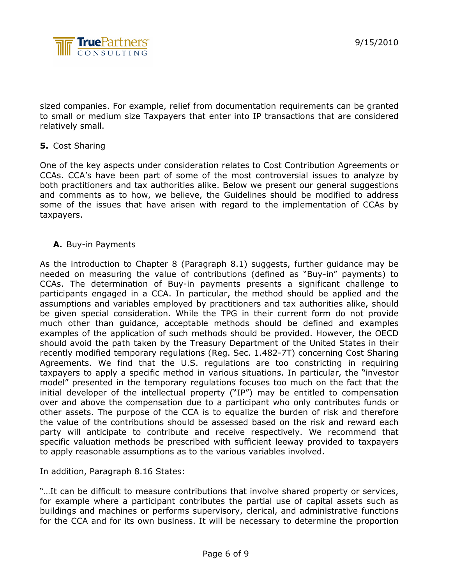sized companies. For example, relief from documentation requirements can be granted to small or medium size Taxpayers that enter into IP transactions that are considered relatively small.

#### 5. Cost Sharing

One of the key aspects under consideration relates to Cost Contribution Agreements or CCAs. CCA's have been part of some of the most controversial issues to analyze by both practitioners and tax authorities alike. Below we present our general suggestions and comments as to how, we believe, the Guidelines should be modified to address some of the issues that have arisen with regard to the implementation of CCAs by taxpayers.

### A. Buy-in Payments

As the introduction to Chapter 8 (Paragraph 8.1) suggests, further guidance may be needed on measuring the value of contributions (defined as "Buy-in" payments) to CCAs. The determination of Buy-in payments presents a significant challenge to participants engaged in a CCA. In particular, the method should be applied and the assumptions and variables employed by practitioners and tax authorities alike, should be given special consideration. While the TPG in their current form do not provide much other than guidance, acceptable methods should be defined and examples examples of the application of such methods should be provided. However, the OECD should avoid the path taken by the Treasury Department of the United States in their recently modified temporary regulations (Reg. Sec. 1.482-7T) concerning Cost Sharing Agreements. We find that the U.S. regulations are too constricting in requiring taxpayers to apply a specific method in various situations. In particular, the "investor model" presented in the temporary regulations focuses too much on the fact that the initial developer of the intellectual property ("IP") may be entitled to compensation over and above the compensation due to a participant who only contributes funds or other assets. The purpose of the CCA is to equalize the burden of risk and therefore the value of the contributions should be assessed based on the risk and reward each party will anticipate to contribute and receive respectively. We recommend that specific valuation methods be prescribed with sufficient leeway provided to taxpayers to apply reasonable assumptions as to the various variables involved.

In addition, Paragraph 8.16 States:

"…It can be difficult to measure contributions that involve shared property or services, for example where a participant contributes the partial use of capital assets such as buildings and machines or performs supervisory, clerical, and administrative functions for the CCA and for its own business. It will be necessary to determine the proportion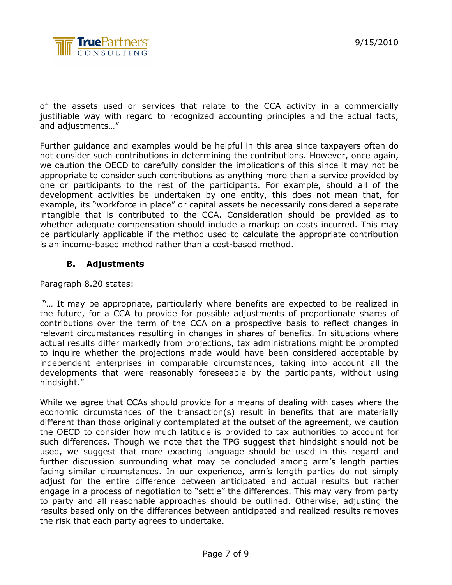

of the assets used or services that relate to the CCA activity in a commercially justifiable way with regard to recognized accounting principles and the actual facts, and adjustments…"

Further guidance and examples would be helpful in this area since taxpayers often do not consider such contributions in determining the contributions. However, once again, we caution the OECD to carefully consider the implications of this since it may not be appropriate to consider such contributions as anything more than a service provided by one or participants to the rest of the participants. For example, should all of the development activities be undertaken by one entity, this does not mean that, for example, its "workforce in place" or capital assets be necessarily considered a separate intangible that is contributed to the CCA. Consideration should be provided as to whether adequate compensation should include a markup on costs incurred. This may be particularly applicable if the method used to calculate the appropriate contribution is an income-based method rather than a cost-based method.

### B. Adjustments

Paragraph 8.20 states:

"... It may be appropriate, particularly where benefits are expected to be realized in the future, for a CCA to provide for possible adjustments of proportionate shares of contributions over the term of the CCA on a prospective basis to reflect changes in relevant circumstances resulting in changes in shares of benefits. In situations where actual results differ markedly from projections, tax administrations might be prompted to inquire whether the projections made would have been considered acceptable by independent enterprises in comparable circumstances, taking into account all the developments that were reasonably foreseeable by the participants, without using hindsight."

While we agree that CCAs should provide for a means of dealing with cases where the economic circumstances of the transaction(s) result in benefits that are materially different than those originally contemplated at the outset of the agreement, we caution the OECD to consider how much latitude is provided to tax authorities to account for such differences. Though we note that the TPG suggest that hindsight should not be used, we suggest that more exacting language should be used in this regard and further discussion surrounding what may be concluded among arm's length parties facing similar circumstances. In our experience, arm's length parties do not simply adjust for the entire difference between anticipated and actual results but rather engage in a process of negotiation to "settle" the differences. This may vary from party to party and all reasonable approaches should be outlined. Otherwise, adjusting the results based only on the differences between anticipated and realized results removes the risk that each party agrees to undertake.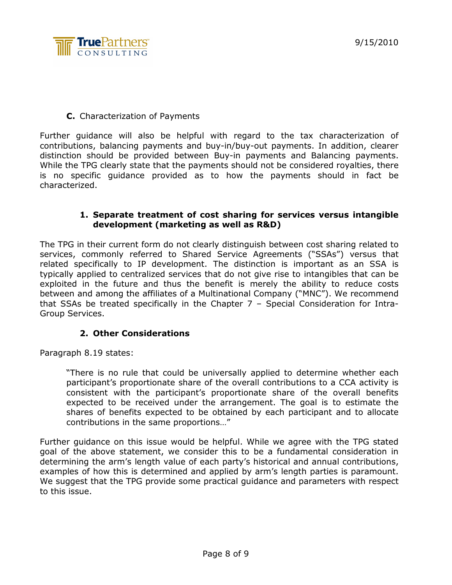

### C. Characterization of Payments

Further guidance will also be helpful with regard to the tax characterization of contributions, balancing payments and buy-in/buy-out payments. In addition, clearer distinction should be provided between Buy-in payments and Balancing payments. While the TPG clearly state that the payments should not be considered royalties, there is no specific guidance provided as to how the payments should in fact be characterized.

#### 1. Separate treatment of cost sharing for services versus intangible development (marketing as well as R&D)

The TPG in their current form do not clearly distinguish between cost sharing related to services, commonly referred to Shared Service Agreements ("SSAs") versus that related specifically to IP development. The distinction is important as an SSA is typically applied to centralized services that do not give rise to intangibles that can be exploited in the future and thus the benefit is merely the ability to reduce costs between and among the affiliates of a Multinational Company ("MNC"). We recommend that SSAs be treated specifically in the Chapter 7 – Special Consideration for Intra-Group Services.

## 2. Other Considerations

Paragraph 8.19 states:

"There is no rule that could be universally applied to determine whether each participant's proportionate share of the overall contributions to a CCA activity is consistent with the participant's proportionate share of the overall benefits expected to be received under the arrangement. The goal is to estimate the shares of benefits expected to be obtained by each participant and to allocate contributions in the same proportions…"

Further guidance on this issue would be helpful. While we agree with the TPG stated goal of the above statement, we consider this to be a fundamental consideration in determining the arm's length value of each party's historical and annual contributions, examples of how this is determined and applied by arm's length parties is paramount. We suggest that the TPG provide some practical guidance and parameters with respect to this issue.